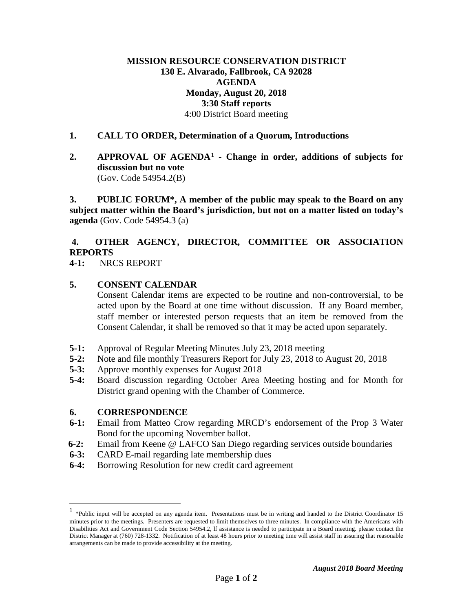### **MISSION RESOURCE CONSERVATION DISTRICT 130 E. Alvarado, Fallbrook, CA 92028 AGENDA Monday, August 20, 2018 3:30 Staff reports** 4:00 District Board meeting

#### **1. CALL TO ORDER, Determination of a Quorum, Introductions**

**2. APPROVAL OF AGENDA[1](#page-0-0) - Change in order, additions of subjects for discussion but no vote**  (Gov. Code 54954.2(B)

**3. PUBLIC FORUM\*, A member of the public may speak to the Board on any subject matter within the Board's jurisdiction, but not on a matter listed on today's agenda** (Gov. Code 54954.3 (a)

## **4. OTHER AGENCY, DIRECTOR, COMMITTEE OR ASSOCIATION REPORTS**

### **4-1:** NRCS REPORT

### **5. CONSENT CALENDAR**

Consent Calendar items are expected to be routine and non-controversial, to be acted upon by the Board at one time without discussion. If any Board member, staff member or interested person requests that an item be removed from the Consent Calendar, it shall be removed so that it may be acted upon separately.

- **5-1:** Approval of Regular Meeting Minutes July 23, 2018 meeting
- **5-2:** Note and file monthly Treasurers Report for July 23, 2018 to August 20, 2018
- **5-3:** Approve monthly expenses for August 2018
- **5-4:** Board discussion regarding October Area Meeting hosting and for Month for District grand opening with the Chamber of Commerce.

#### **6. CORRESPONDENCE**

- **6-1:** Email from Matteo Crow regarding MRCD's endorsement of the Prop 3 Water Bond for the upcoming November ballot.
- **6-2:** Email from Keene @ LAFCO San Diego regarding services outside boundaries
- **6-3:** CARD E-mail regarding late membership dues
- **6**-**4:** Borrowing Resolution for new credit card agreement

<span id="page-0-0"></span> $1$  \*Public input will be accepted on any agenda item. Presentations must be in writing and handed to the District Coordinator 15 minutes prior to the meetings. Presenters are requested to limit themselves to three minutes. In compliance with the Americans with Disabilities Act and Government Code Section 54954.2, lf assistance is needed to participate in a Board meeting. please contact the District Manager at (760) 728-1332. Notification of at least 48 hours prior to meeting time will assist staff in assuring that reasonable arrangements can be made to provide accessibility at the meeting.